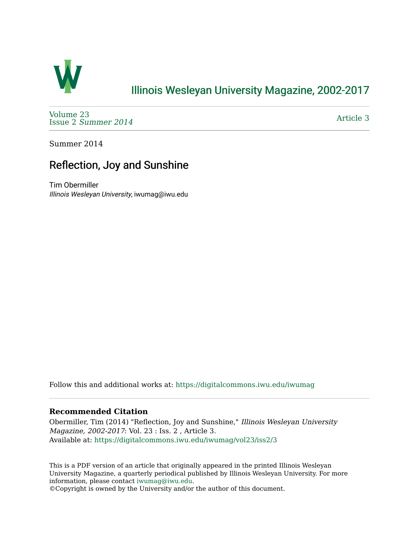

## [Illinois Wesleyan University Magazine, 2002-2017](https://digitalcommons.iwu.edu/iwumag)

[Volume 23](https://digitalcommons.iwu.edu/iwumag/vol23)  Issue 2 [Summer 2014](https://digitalcommons.iwu.edu/iwumag/vol23/iss2) 

[Article 3](https://digitalcommons.iwu.edu/iwumag/vol23/iss2/3) 

Summer 2014

# Reflection, Joy and Sunshine

Tim Obermiller Illinois Wesleyan University, iwumag@iwu.edu

Follow this and additional works at: [https://digitalcommons.iwu.edu/iwumag](https://digitalcommons.iwu.edu/iwumag?utm_source=digitalcommons.iwu.edu%2Fiwumag%2Fvol23%2Fiss2%2F3&utm_medium=PDF&utm_campaign=PDFCoverPages) 

#### **Recommended Citation**

Obermiller, Tim (2014) "Reflection, Joy and Sunshine," Illinois Wesleyan University Magazine, 2002-2017: Vol. 23 : Iss. 2 , Article 3. Available at: [https://digitalcommons.iwu.edu/iwumag/vol23/iss2/3](https://digitalcommons.iwu.edu/iwumag/vol23/iss2/3?utm_source=digitalcommons.iwu.edu%2Fiwumag%2Fvol23%2Fiss2%2F3&utm_medium=PDF&utm_campaign=PDFCoverPages)

This is a PDF version of an article that originally appeared in the printed Illinois Wesleyan University Magazine, a quarterly periodical published by Illinois Wesleyan University. For more information, please contact [iwumag@iwu.edu](mailto:iwumag@iwu.edu).

©Copyright is owned by the University and/or the author of this document.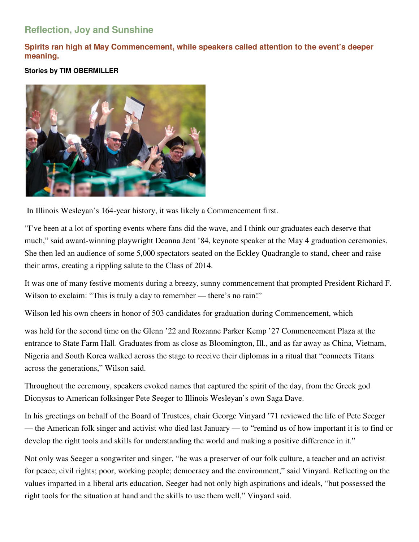### **Reflection, Joy and Sunshine**

**Spirits ran high at May Commencement, while speakers called attention to the event's deeper meaning.** 

#### **Stories by TIM OBERMILLER**



In Illinois Wesleyan's 164-year history, it was likely a Commencement first.

"I've been at a lot of sporting events where fans did the wave, and I think our graduates each deserve that much," said award-winning playwright Deanna Jent '84, keynote speaker at the May 4 graduation ceremonies. She then led an audience of some 5,000 spectators seated on the Eckley Quadrangle to stand, cheer and raise their arms, creating a rippling salute to the Class of 2014.

It was one of many festive moments during a breezy, sunny commencement that prompted President Richard F. Wilson to exclaim: "This is truly a day to remember — there's no rain!"

Wilson led his own cheers in honor of 503 candidates for graduation during Commencement, which

was held for the second time on the Glenn '22 and Rozanne Parker Kemp '27 Commencement Plaza at the entrance to State Farm Hall. Graduates from as close as Bloomington, Ill., and as far away as China, Vietnam, Nigeria and South Korea walked across the stage to receive their diplomas in a ritual that "connects Titans across the generations," Wilson said.

Throughout the ceremony, speakers evoked names that captured the spirit of the day, from the Greek god Dionysus to American folksinger Pete Seeger to Illinois Wesleyan's own Saga Dave.

In his greetings on behalf of the Board of Trustees, chair George Vinyard '71 reviewed the life of Pete Seeger — the American folk singer and activist who died last January — to "remind us of how important it is to find or develop the right tools and skills for understanding the world and making a positive difference in it."

Not only was Seeger a songwriter and singer, "he was a preserver of our folk culture, a teacher and an activist for peace; civil rights; poor, working people; democracy and the environment," said Vinyard. Reflecting on the values imparted in a liberal arts education, Seeger had not only high aspirations and ideals, "but possessed the right tools for the situation at hand and the skills to use them well," Vinyard said.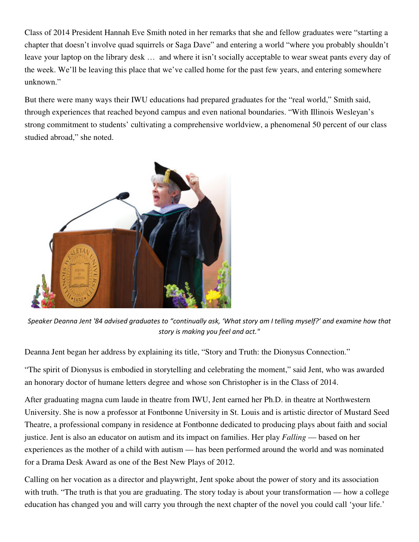Class of 2014 President Hannah Eve Smith noted in her remarks that she and fellow graduates were "starting a chapter that doesn't involve quad squirrels or Saga Dave" and entering a world "where you probably shouldn't leave your laptop on the library desk … and where it isn't socially acceptable to wear sweat pants every day of the week. We'll be leaving this place that we've called home for the past few years, and entering somewhere unknown."

But there were many ways their IWU educations had prepared graduates for the "real world," Smith said, through experiences that reached beyond campus and even national boundaries. "With Illinois Wesleyan's strong commitment to students' cultivating a comprehensive worldview, a phenomenal 50 percent of our class studied abroad," she noted.



Speaker Deanna Jent '84 advised graduates to "continually ask, 'What story am I telling myself?' and examine how that story is making you feel and act."

Deanna Jent began her address by explaining its title, "Story and Truth: the Dionysus Connection."

"The spirit of Dionysus is embodied in storytelling and celebrating the moment," said Jent, who was awarded an honorary doctor of humane letters degree and whose son Christopher is in the Class of 2014.

After graduating magna cum laude in theatre from IWU, Jent earned her Ph.D. in theatre at Northwestern University. She is now a professor at Fontbonne University in St. Louis and is artistic director of Mustard Seed Theatre, a professional company in residence at Fontbonne dedicated to producing plays about faith and social justice. Jent is also an educator on autism and its impact on families. Her play *Falling* — based on her experiences as the mother of a child with autism — has been performed around the world and was nominated for a Drama Desk Award as one of the Best New Plays of 2012.

Calling on her vocation as a director and playwright, Jent spoke about the power of story and its association with truth. "The truth is that you are graduating. The story today is about your transformation — how a college education has changed you and will carry you through the next chapter of the novel you could call 'your life.'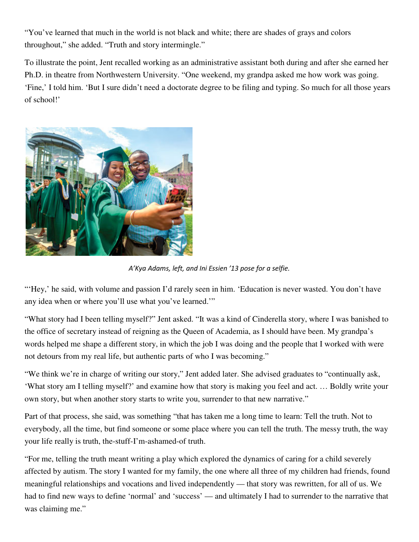"You've learned that much in the world is not black and white; there are shades of grays and colors throughout," she added. "Truth and story intermingle."

To illustrate the point, Jent recalled working as an administrative assistant both during and after she earned her Ph.D. in theatre from Northwestern University. "One weekend, my grandpa asked me how work was going. 'Fine,' I told him. 'But I sure didn't need a doctorate degree to be filing and typing. So much for all those years of school!'



A'Kya Adams, left, and Ini Essien '13 pose for a selfie.

"Hey,' he said, with volume and passion I'd rarely seen in him. 'Education is never wasted. You don't have any idea when or where you'll use what you've learned.'"

"What story had I been telling myself?" Jent asked. "It was a kind of Cinderella story, where I was banished to the office of secretary instead of reigning as the Queen of Academia, as I should have been. My grandpa's words helped me shape a different story, in which the job I was doing and the people that I worked with were not detours from my real life, but authentic parts of who I was becoming."

"We think we're in charge of writing our story," Jent added later. She advised graduates to "continually ask, 'What story am I telling myself?' and examine how that story is making you feel and act. … Boldly write your own story, but when another story starts to write you, surrender to that new narrative."

Part of that process, she said, was something "that has taken me a long time to learn: Tell the truth. Not to everybody, all the time, but find someone or some place where you can tell the truth. The messy truth, the way your life really is truth, the-stuff-I'm-ashamed-of truth.

"For me, telling the truth meant writing a play which explored the dynamics of caring for a child severely affected by autism. The story I wanted for my family, the one where all three of my children had friends, found meaningful relationships and vocations and lived independently — that story was rewritten, for all of us. We had to find new ways to define 'normal' and 'success' — and ultimately I had to surrender to the narrative that was claiming me."